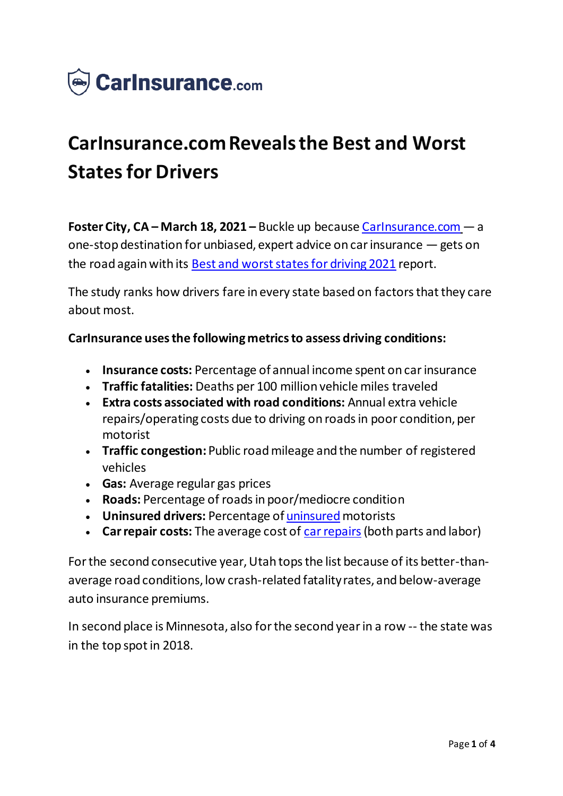

# **CarInsurance.com Reveals the Best and Worst States for Drivers**

**Foster City, CA – March 18, 2021 –** Buckle up because Carlnsurance.com – a one-stop destination for unbiased, expert advice on car insurance —gets on the road again with its [Best and worst states for driving 2021](https://www.carinsurance.com/Articles/best-worst-states-driving.aspx) report.

The study ranks how drivers fare in every state based on factors that they care about most.

#### **CarInsurance uses the following metrics to assess driving conditions:**

- **Insurance costs:** Percentage of annual income spent on car insurance
- **Traffic fatalities:** Deaths per 100 million vehicle miles traveled
- **Extra costs associated with road conditions:** Annual extra vehicle repairs/operating costs due to driving on roads in poor condition, per motorist
- **Traffic congestion:** Public road mileage and the number of registered vehicles
- **Gas:** Average regular gas prices
- **Roads:** Percentage of roads in poor/mediocre condition
- **Uninsured drivers: Percentage of [uninsured](https://www.carinsurance.com/uninsured-motorist-coverage.aspx) motorists**
- Car repair costs: The average cost of [car repairs](https://www.carinsurance.com/car-repair-insurance/) (both parts and labor)

For the second consecutive year, Utah tops the list because of its better-thanaverage road conditions, low crash-related fatality rates, and below-average auto insurance premiums.

In second place is Minnesota, also for the second year in a row -- the state was in the top spot in 2018.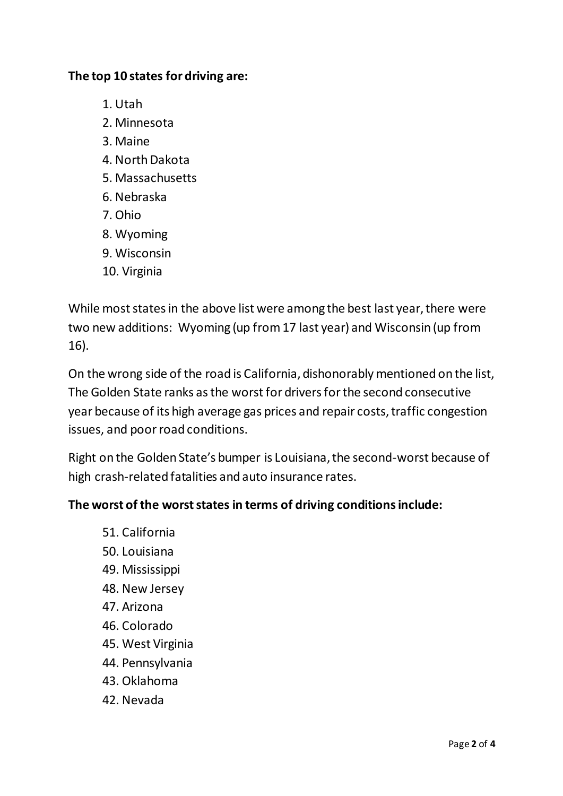#### **The top 10 states for driving are:**

- 1. Utah
- 2. Minnesota
- 3. Maine
- 4. North Dakota
- 5. Massachusetts
- 6. Nebraska
- 7. Ohio
- 8. Wyoming
- 9. Wisconsin
- 10. Virginia

While most states in the above list were among the best last year, there were two new additions: Wyoming (up from 17 last year) and Wisconsin (up from 16).

On the wrong side of the road is California, dishonorably mentioned on the list, The Golden State ranks as the worst for drivers for the second consecutive year because of its high average gas prices and repair costs, traffic congestion issues, and poor road conditions.

Right on the Golden State's bumper is Louisiana, the second-worst because of high crash-related fatalities and auto insurance rates.

## **The worst of the worst states in terms of driving conditions include:**

- 51. California
- 50. Louisiana
- 49. Mississippi
- 48. New Jersey
- 47. Arizona
- 46. Colorado
- 45. West Virginia
- 44. Pennsylvania
- 43. Oklahoma
- 42. Nevada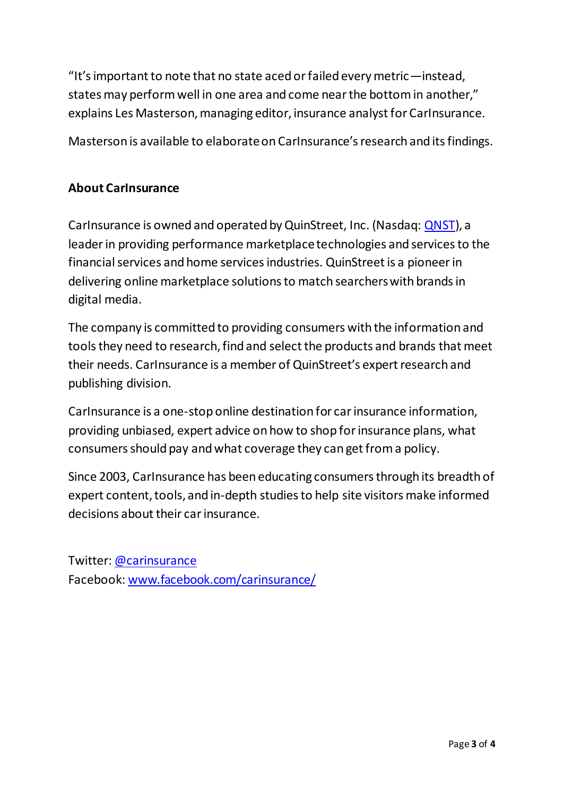"It's important to note that no state aced or failed every metric—instead, states may perform well in one area and come near the bottom in another," explains Les Masterson, managing editor, insurance analyst for CarInsurance.

Masterson is available to elaborate on CarInsurance's research and its findings.

## **About CarInsurance**

CarInsurance is owned and operated by QuinStreet, Inc. (Nasdaq: [QNST](https://www.nasdaq.com/market-activity/stocks/qnst)), a leader in providing performance marketplace technologies and services to the financial services and home services industries. QuinStreet is a pioneer in delivering online marketplace solutions to match searchers with brands in digital media.

The company is committed to providing consumers with the information and tools they need to research, find and select the products and brands that meet their needs. CarInsurance is a member of QuinStreet's expert research and publishing division.

CarInsurance is a one-stop online destination for car insurance information, providing unbiased, expert advice on how to shop for insurance plans, what consumers should pay and what coverage they can get from a policy.

Since 2003, CarInsurance has been educating consumers through its breadth of expert content, tools, and in-depth studies to help site visitors make informed decisions about their car insurance.

Twitter: [@carinsurance](https://www.twitter.com/carinsurance) Facebook: [www.facebook.com/carinsurance/](https://www.facebook.com/carinsurance/)